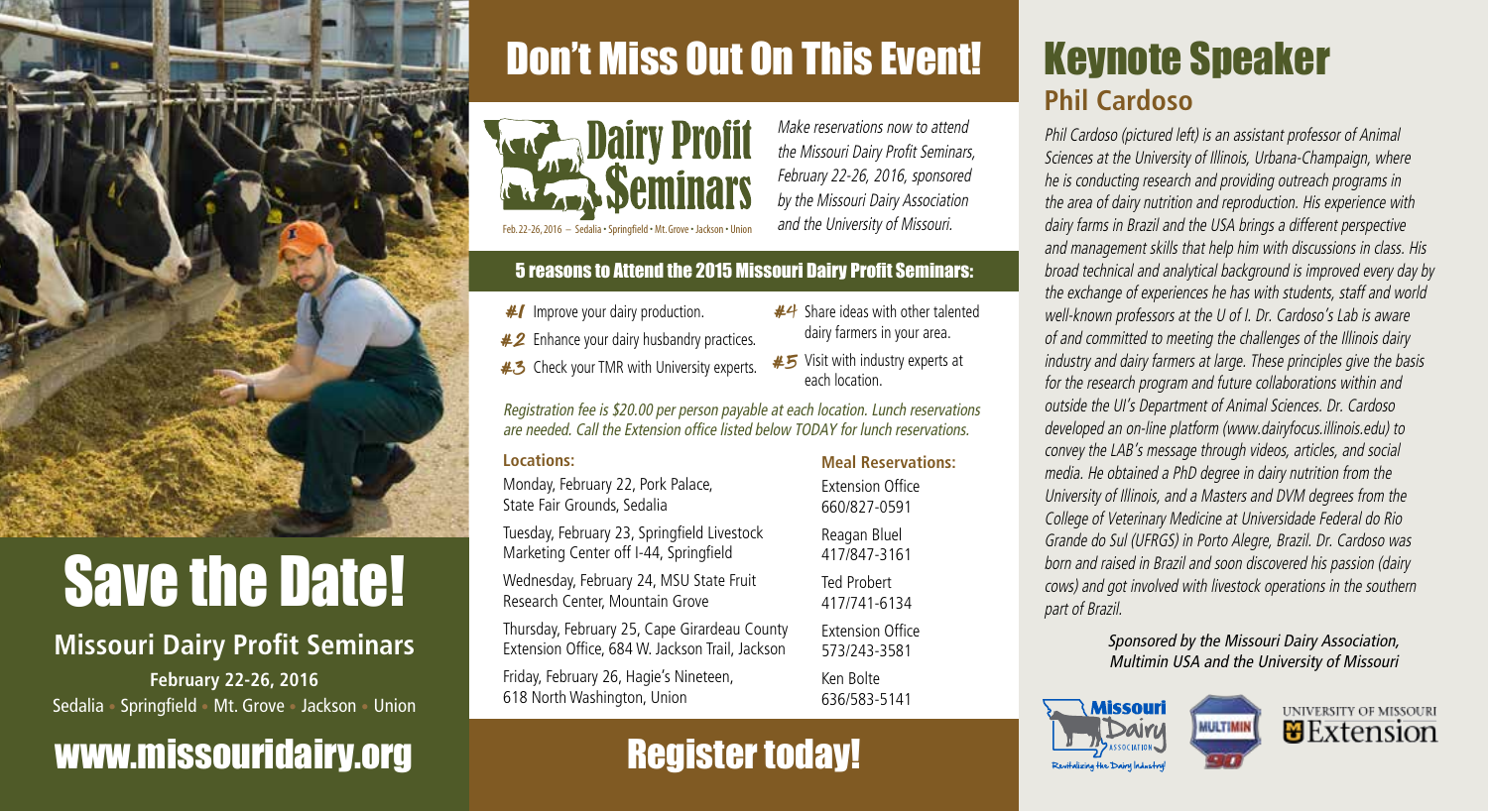

# **Save the Date!**

#### **Missouri Dairy Profit Seminars February 22-26, 2016** Sedalia **•** Springfield **•** Mt. Grove **•** Jackson **•** Union

### www.missouridairy.org

# Don't Miss Out On This Event!



*Make reservations now to attend the Missouri Dairy Profit Seminars, February 22-26, 2016, sponsored by the Missouri Dairy Association and the University of Missouri.* 

 $#4$  Share ideas with other talented dairy farmers in your area.

each location.

#### 5 reasons to Attend the 2015 Missouri Dairy Profit Seminars:

- #/ Improve your dairy production.
- $#2$  Enhance your dairy husbandry practices.
- Check your TMR with University experts. #3  $\#5$  Visit with industry experts at

*Registration fee is \$20.00 per person payable at each location. Lunch reservations are needed. Call the Extension office listed below TODAY for lunch reservations.* 

#### **Locations:**

 $\overline{1}$ 

Monday, February 22, Pork Palace, State Fair Grounds, Sedalia

Tuesday, February 23, Springfield Livestock Marketing Center off I-44, Springfield

Wednesday, February 24, MSU State Fruit Research Center, Mountain Grove

Thursday, February 25, Cape Girardeau County Extension Office, 684 W. Jackson Trail, Jackson

Friday, February 26, Hagie's Nineteen, 618 North Washington, Union

### Register today!

### Keynote Speaker **Phil Cardoso**

*Phil Cardoso (pictured left) is an assistant professor of Animal Sciences at the University of Illinois, Urbana-Champaign, where he is conducting research and providing outreach programs in the area of dairy nutrition and reproduction. His experience with dairy farms in Brazil and the USA brings a different perspective and management skills that help him with discussions in class. His broad technical and analytical background is improved every day by the exchange of experiences he has with students, staff and world well-known professors at the U of I. Dr. Cardoso's Lab is aware of and committed to meeting the challenges of the Illinois dairy industry and dairy farmers at large. These principles give the basis for the research program and future collaborations within and outside the UI's Department of Animal Sciences. Dr. Cardoso developed an on-line platform (www.dairyfocus.illinois.edu) to convey the LAB's message through videos, articles, and social media. He obtained a PhD degree in dairy nutrition from the University of Illinois, and a Masters and DVM degrees from the College of Veterinary Medicine at Universidade Federal do Rio Grande do Sul (UFRGS) in Porto Alegre, Brazil. Dr. Cardoso was born and raised in Brazil and soon discovered his passion (dairy cows) and got involved with livestock operations in the southern part of Brazil.*

> *Sponsored by the Missouri Dairy Association, Multimin USA and the University of Missouri*





**Meal Reservations:**  Extension Office 660/827-0591

Reagan Bluel 417/847-3161 Ted Probert 417/741-6134 Extension Office

573/243-3581

Ken Bolte 636/583-5141